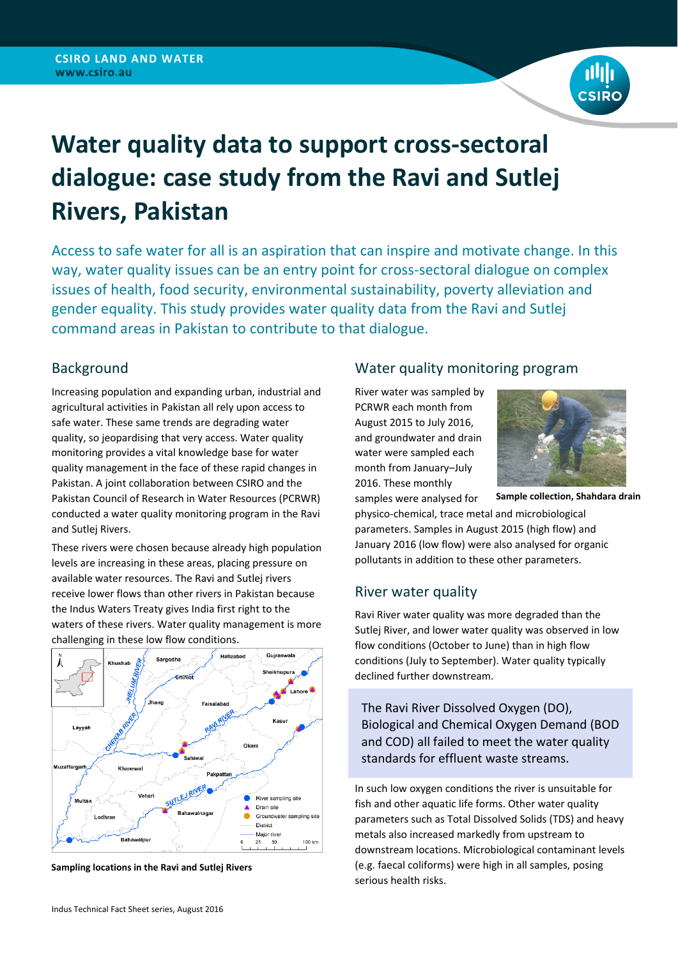

# **Water quality data to support cross-sectoral dialogue: case study from the Ravi and Sutlej Rivers, Pakistan**

Access to safe water for all is an aspiration that can inspire and motivate change. In this way, water quality issues can be an entry point for cross-sectoral dialogue on complex issues of health, food security, environmental sustainability, poverty alleviation and gender equality. This study provides water quality data from the Ravi and Sutlej command areas in Pakistan to contribute to that dialogue.

## Background

Increasing population and expanding urban, industrial and agricultural activities in Pakistan all rely upon access to safe water. These same trends are degrading water quality, so jeopardising that very access. Water quality monitoring provides a vital knowledge base for water quality management in the face of these rapid changes in Pakistan. A joint collaboration between CSIRO and the Pakistan Council of Research in Water Resources (PCRWR) conducted a water quality monitoring program in the Ravi and Sutlej Rivers.

These rivers were chosen because already high population levels are increasing in these areas, placing pressure on available water resources. The Ravi and Sutlej rivers receive lower flows than other rivers in Pakistan because the Indus Waters Treaty gives India first right to the waters of these rivers. Water quality management is more challenging in these low flow conditions.



**Sampling locations in the Ravi and Sutlej Rivers**

#### Indus Technical Fact Sheet series, August 2016

### Water quality monitoring program

River water was sampled by PCRWR each month from August 2015 to July 2016, and groundwater and drain water were sampled each month from January–July 2016. These monthly



samples were analysed for

physico‐chemical, trace metal and microbiological parameters. Samples in August 2015 (high flow) and January 2016 (low flow) were also analysed for organic **Sample collection, Shahdara drain**

## River water quality

Ravi River water quality was more degraded than the Sutlej River, and lower water quality was observed in low flow conditions (October to June) than in high flow conditions (July to September). Water quality typically declined further downstream.

pollutants in addition to these other parameters.

The Ravi River Dissolved Oxygen (DO), Biological and Chemical Oxygen Demand (BOD and COD) all failed to meet the water quality standards for effluent waste streams.

In such low oxygen conditions the river is unsuitable for fish and other aquatic life forms. Other water quality parameters such as Total Dissolved Solids (TDS) and heavy metals also increased markedly from upstream to downstream locations. Microbiological contaminant levels (e.g. faecal coliforms) were high in all samples, posing serious health risks.